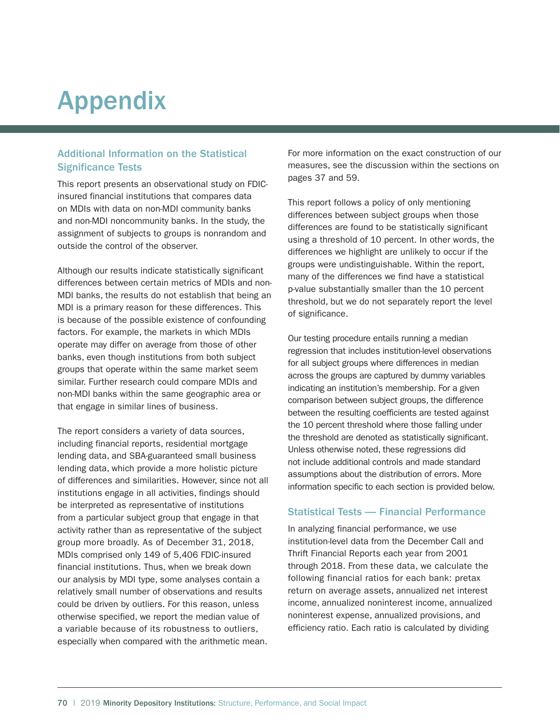# Appendix

## Additional Information on the Statistical Significance Tests

This report presents an observational study on FDICinsured financial institutions that compares data on MDIs with data on non-MDI community banks and non-MDI noncommunity banks. In the study, the assignment of subjects to groups is nonrandom and outside the control of the observer.

Although our results indicate statistically significant differences between certain metrics of MDIs and non-MDI banks, the results do not establish that being an MDI is a primary reason for these differences. This is because of the possible existence of confounding factors. For example, the markets in which MDIs operate may differ on average from those of other banks, even though institutions from both subject groups that operate within the same market seem similar. Further research could compare MDIs and non-MDI banks within the same geographic area or that engage in similar lines of business.

The report considers a variety of data sources, including financial reports, residential mortgage lending data, and SBA-guaranteed small business lending data, which provide a more holistic picture of differences and similarities. However, since not all institutions engage in all activities, findings should be interpreted as representative of institutions from a particular subject group that engage in that activity rather than as representative of the subject group more broadly. As of December 31, 2018, MDIs comprised only 149 of 5,406 FDIC-insured financial institutions. Thus, when we break down our analysis by MDI type, some analyses contain a relatively small number of observations and results could be driven by outliers. For this reason, unless otherwise specified, we report the median value of a variable because of its robustness to outliers, especially when compared with the arithmetic mean. For more information on the exact construction of our measures, see the discussion within the sections on pages 37 and 59.

This report follows a policy of only mentioning differences between subject groups when those differences are found to be statistically significant using a threshold of 10 percent. In other words, the differences we highlight are unlikely to occur if the groups were undistinguishable. Within the report, many of the differences we find have a statistical p-value substantially smaller than the 10 percent threshold, but we do not separately report the level of significance.

Our testing procedure entails running a median regression that includes institution-level observations for all subject groups where differences in median across the groups are captured by dummy variables indicating an institution's membership. For a given comparison between subject groups, the difference between the resulting coefficients are tested against the 10 percent threshold where those falling under the threshold are denoted as statistically significant. Unless otherwise noted, these regressions did not include additional controls and made standard assumptions about the distribution of errors. More information specific to each section is provided below.

#### Statistical Tests — Financial Performance

In analyzing financial performance, we use institution-level data from the December Call and Thrift Financial Reports each year from 2001 through 2018. From these data, we calculate the following financial ratios for each bank: pretax return on average assets, annualized net interest income, annualized noninterest income, annualized noninterest expense, annualized provisions, and efficiency ratio. Each ratio is calculated by dividing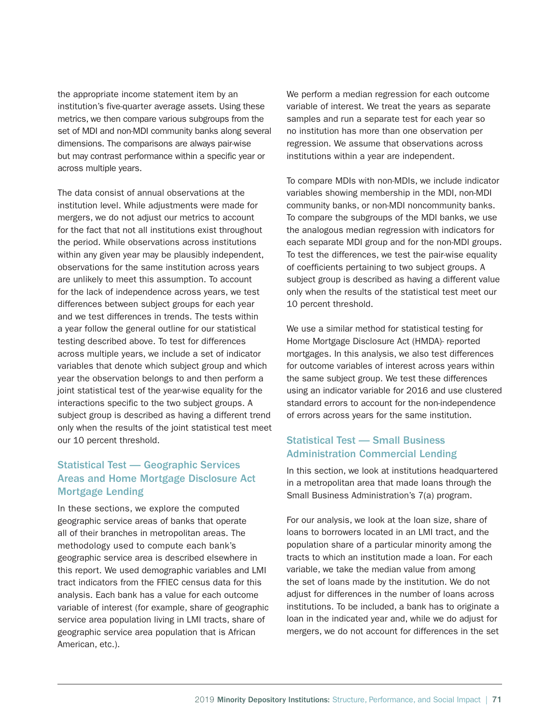the appropriate income statement item by an institution's five-quarter average assets. Using these metrics, we then compare various subgroups from the set of MDI and non-MDI community banks along several dimensions. The comparisons are always pair-wise but may contrast performance within a specific year or across multiple years.

The data consist of annual observations at the institution level. While adjustments were made for mergers, we do not adjust our metrics to account for the fact that not all institutions exist throughout the period. While observations across institutions within any given year may be plausibly independent, observations for the same institution across years are unlikely to meet this assumption. To account for the lack of independence across years, we test differences between subject groups for each year and we test differences in trends. The tests within a year follow the general outline for our statistical testing described above. To test for differences across multiple years, we include a set of indicator variables that denote which subject group and which year the observation belongs to and then perform a joint statistical test of the year-wise equality for the interactions specific to the two subject groups. A subject group is described as having a different trend only when the results of the joint statistical test meet our 10 percent threshold.

# Statistical Test — Geographic Services Areas and Home Mortgage Disclosure Act Mortgage Lending

In these sections, we explore the computed geographic service areas of banks that operate all of their branches in metropolitan areas. The methodology used to compute each bank's geographic service area is described elsewhere in this report. We used demographic variables and LMI tract indicators from the FFIEC census data for this analysis. Each bank has a value for each outcome variable of interest (for example, share of geographic service area population living in LMI tracts, share of geographic service area population that is African American, etc.).

We perform a median regression for each outcome variable of interest. We treat the years as separate samples and run a separate test for each year so no institution has more than one observation per regression. We assume that observations across institutions within a year are independent.

To compare MDIs with non-MDIs, we include indicator variables showing membership in the MDI, non-MDI community banks, or non-MDI noncommunity banks. To compare the subgroups of the MDI banks, we use the analogous median regression with indicators for each separate MDI group and for the non-MDI groups. To test the differences, we test the pair-wise equality of coefficients pertaining to two subject groups. A subject group is described as having a different value only when the results of the statistical test meet our 10 percent threshold.

We use a similar method for statistical testing for Home Mortgage Disclosure Act (HMDA)- reported mortgages. In this analysis, we also test differences for outcome variables of interest across years within the same subject group. We test these differences using an indicator variable for 2016 and use clustered standard errors to account for the non-independence of errors across years for the same institution.

### Statistical Test — Small Business Administration Commercial Lending

In this section, we look at institutions headquartered in a metropolitan area that made loans through the Small Business Administration's 7(a) program.

For our analysis, we look at the loan size, share of loans to borrowers located in an LMI tract, and the population share of a particular minority among the tracts to which an institution made a loan. For each variable, we take the median value from among the set of loans made by the institution. We do not adjust for differences in the number of loans across institutions. To be included, a bank has to originate a loan in the indicated year and, while we do adjust for mergers, we do not account for differences in the set